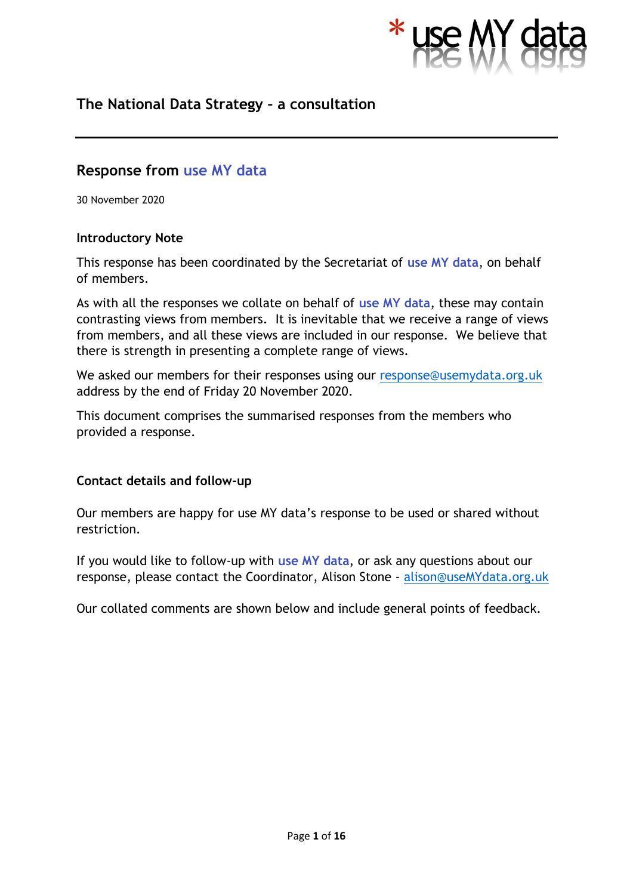

# **The National Data Strategy – a consultation**

# **Response from use MY data**

30 November 2020

#### **Introductory Note**

This response has been coordinated by the Secretariat of **use MY data**, on behalf of members.

As with all the responses we collate on behalf of **use MY data**, these may contain contrasting views from members. It is inevitable that we receive a range of views from members, and all these views are included in our response. We believe that there is strength in presenting a complete range of views.

We asked our members for their responses using our [response@usemydata.org.uk](mailto:response@usemydata.org.uk) address by the end of Friday 20 November 2020.

This document comprises the summarised responses from the members who provided a response.

## **Contact details and follow-up**

Our members are happy for use MY data's response to be used or shared without restriction.

If you would like to follow-up with **use MY data**, or ask any questions about our response, please contact the Coordinator, Alison Stone - [alison@useMYdata.org.uk](mailto:alison@useMYdata.org.uk)

Our collated comments are shown below and include general points of feedback.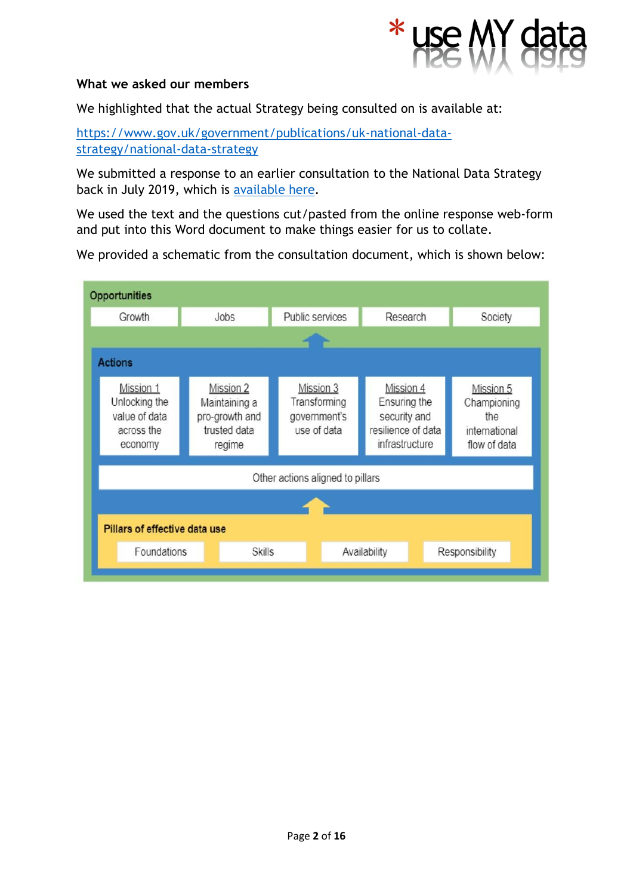

#### **What we asked our members**

We highlighted that the actual Strategy being consulted on is available at:

[https://www.gov.uk/government/publications/uk-national-data](https://www.gov.uk/government/publications/uk-national-data-strategy/national-data-strategy)[strategy/national-data-strategy](https://www.gov.uk/government/publications/uk-national-data-strategy/national-data-strategy)

We submitted a response to an earlier consultation to the National Data Strategy back in July 2019, which is [available here.](http://www.usemydata.org/resources/National%20Data%20Strategy%20-%20use%20MY%20data%20response%20190712.pdf)

We used the text and the questions cut/pasted from the online response web-form and put into this Word document to make things easier for us to collate.

We provided a schematic from the consultation document, which is shown below:

| <b>Opportunities</b>                                                 |                                                                               |                 |                                                                                                                                               |          |                |                                                                  |
|----------------------------------------------------------------------|-------------------------------------------------------------------------------|-----------------|-----------------------------------------------------------------------------------------------------------------------------------------------|----------|----------------|------------------------------------------------------------------|
| Growth                                                               | Jobs                                                                          | Public services |                                                                                                                                               | Research |                | Society                                                          |
|                                                                      |                                                                               |                 |                                                                                                                                               |          |                |                                                                  |
| <b>Actions</b>                                                       |                                                                               |                 |                                                                                                                                               |          |                |                                                                  |
| Mission 1<br>Unlocking the<br>value of data<br>across the<br>economy | <b>Mission 2</b><br>Maintaining a<br>pro-growth and<br>trusted data<br>regime |                 | Mission 4<br>Mission 3<br>Transforming<br>Ensuring the<br>security and<br>government's<br>resilience of data<br>use of data<br>infrastructure |          |                | Mission 5<br>Championing<br>the<br>international<br>flow of data |
| Other actions aligned to pillars                                     |                                                                               |                 |                                                                                                                                               |          |                |                                                                  |
|                                                                      |                                                                               |                 |                                                                                                                                               |          |                |                                                                  |
| Pillars of effective data use                                        |                                                                               |                 |                                                                                                                                               |          |                |                                                                  |
| Foundations<br>Skills                                                |                                                                               |                 | Availability                                                                                                                                  |          | Responsibility |                                                                  |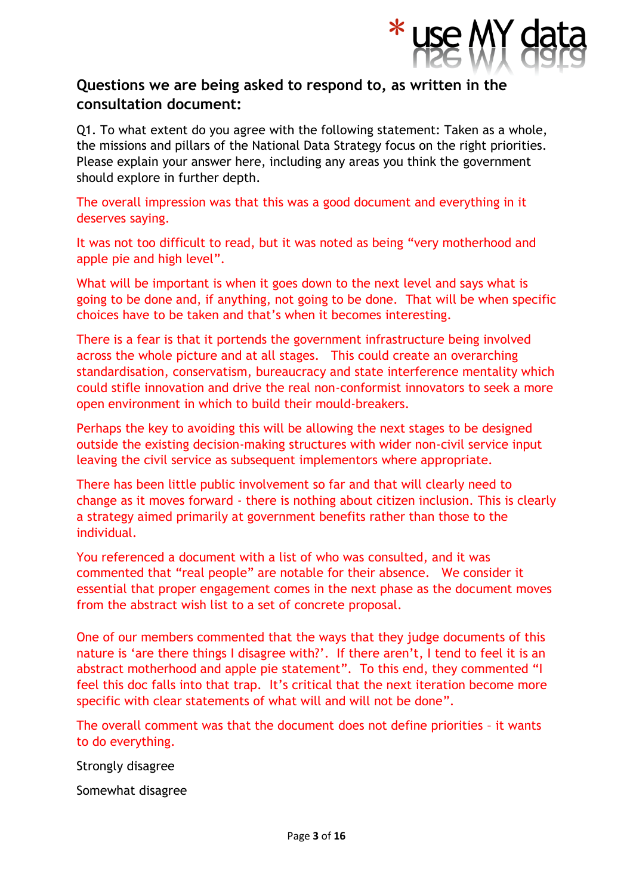

# **Questions we are being asked to respond to, as written in the consultation document:**

Q1. To what extent do you agree with the following statement: Taken as a whole, the missions and pillars of the National Data Strategy focus on the right priorities. Please explain your answer here, including any areas you think the government should explore in further depth.

The overall impression was that this was a good document and everything in it deserves saying.

It was not too difficult to read, but it was noted as being "very motherhood and apple pie and high level".

What will be important is when it goes down to the next level and says what is going to be done and, if anything, not going to be done. That will be when specific choices have to be taken and that's when it becomes interesting.

There is a fear is that it portends the government infrastructure being involved across the whole picture and at all stages. This could create an overarching standardisation, conservatism, bureaucracy and state interference mentality which could stifle innovation and drive the real non-conformist innovators to seek a more open environment in which to build their mould-breakers.

Perhaps the key to avoiding this will be allowing the next stages to be designed outside the existing decision-making structures with wider non-civil service input leaving the civil service as subsequent implementors where appropriate.

There has been little public involvement so far and that will clearly need to change as it moves forward - there is nothing about citizen inclusion. This is clearly a strategy aimed primarily at government benefits rather than those to the individual.

You referenced a document with a list of who was consulted, and it was commented that "real people" are notable for their absence. We consider it essential that proper engagement comes in the next phase as the document moves from the abstract wish list to a set of concrete proposal.

One of our members commented that the ways that they judge documents of this nature is 'are there things I disagree with?'. If there aren't, I tend to feel it is an abstract motherhood and apple pie statement". To this end, they commented "I feel this doc falls into that trap. It's critical that the next iteration become more specific with clear statements of what will and will not be done".

The overall comment was that the document does not define priorities – it wants to do everything.

Strongly disagree

Somewhat disagree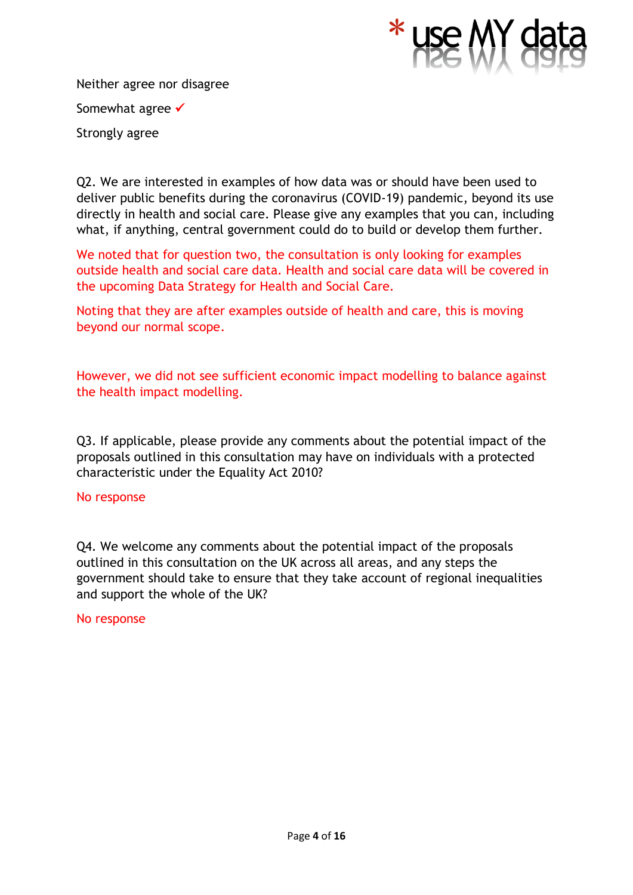

Neither agree nor disagree Somewhat agree <del>✓</del> Strongly agree

Q2. We are interested in examples of how data was or should have been used to deliver public benefits during the coronavirus (COVID-19) pandemic, beyond its use directly in health and social care. Please give any examples that you can, including what, if anything, central government could do to build or develop them further.

We noted that for question two, the consultation is only looking for examples outside health and social care data. Health and social care data will be covered in the upcoming Data Strategy for Health and Social Care.

Noting that they are after examples outside of health and care, this is moving beyond our normal scope.

However, we did not see sufficient economic impact modelling to balance against the health impact modelling.

Q3. If applicable, please provide any comments about the potential impact of the proposals outlined in this consultation may have on individuals with a protected characteristic under the Equality Act 2010?

## No response

Q4. We welcome any comments about the potential impact of the proposals outlined in this consultation on the UK across all areas, and any steps the government should take to ensure that they take account of regional inequalities and support the whole of the UK?

#### No response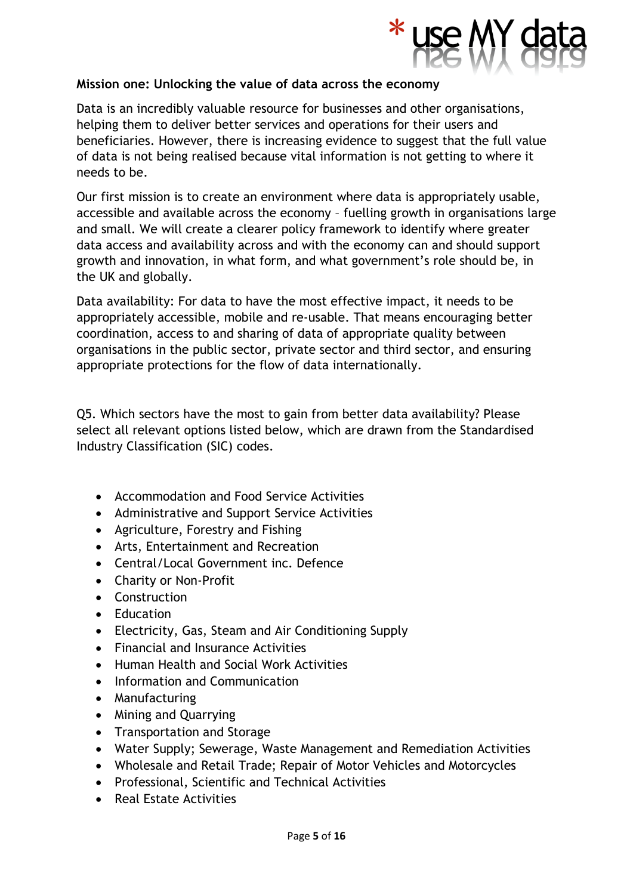

## **Mission one: Unlocking the value of data across the economy**

Data is an incredibly valuable resource for businesses and other organisations, helping them to deliver better services and operations for their users and beneficiaries. However, there is increasing evidence to suggest that the full value of data is not being realised because vital information is not getting to where it needs to be.

Our first mission is to create an environment where data is appropriately usable, accessible and available across the economy – fuelling growth in organisations large and small. We will create a clearer policy framework to identify where greater data access and availability across and with the economy can and should support growth and innovation, in what form, and what government's role should be, in the UK and globally.

Data availability: For data to have the most effective impact, it needs to be appropriately accessible, mobile and re-usable. That means encouraging better coordination, access to and sharing of data of appropriate quality between organisations in the public sector, private sector and third sector, and ensuring appropriate protections for the flow of data internationally.

Q5. Which sectors have the most to gain from better data availability? Please select all relevant options listed below, which are drawn from the Standardised Industry Classification (SIC) codes.

- Accommodation and Food Service Activities
- Administrative and Support Service Activities
- Agriculture, Forestry and Fishing
- Arts, Entertainment and Recreation
- Central/Local Government inc. Defence
- Charity or Non-Profit
- Construction
- Education
- Electricity, Gas, Steam and Air Conditioning Supply
- Financial and Insurance Activities
- Human Health and Social Work Activities
- Information and Communication
- Manufacturing
- Mining and Quarrying
- Transportation and Storage
- Water Supply; Sewerage, Waste Management and Remediation Activities
- Wholesale and Retail Trade; Repair of Motor Vehicles and Motorcycles
- Professional, Scientific and Technical Activities
- Real Estate Activities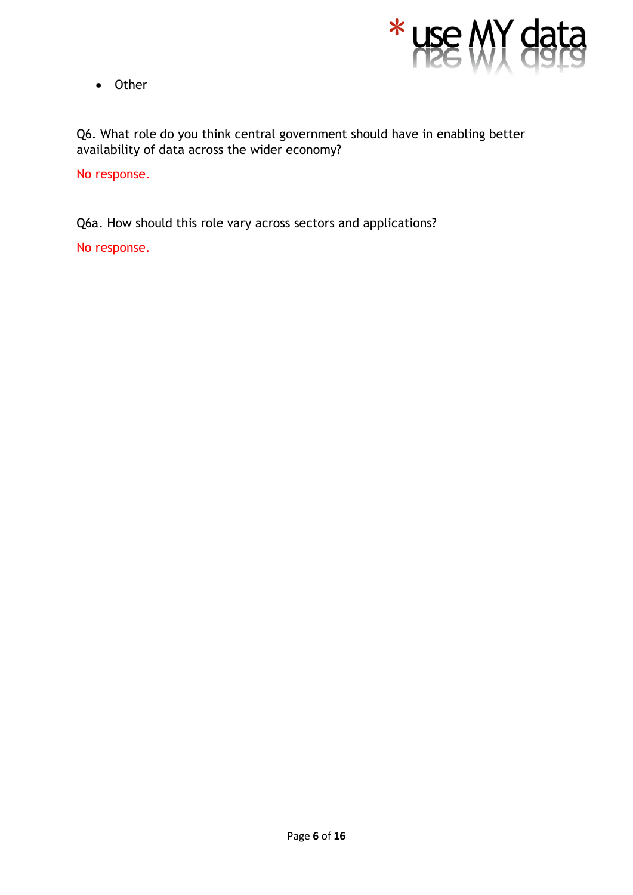

• Other

Q6. What role do you think central government should have in enabling better availability of data across the wider economy?

No response.

Q6a. How should this role vary across sectors and applications?

No response.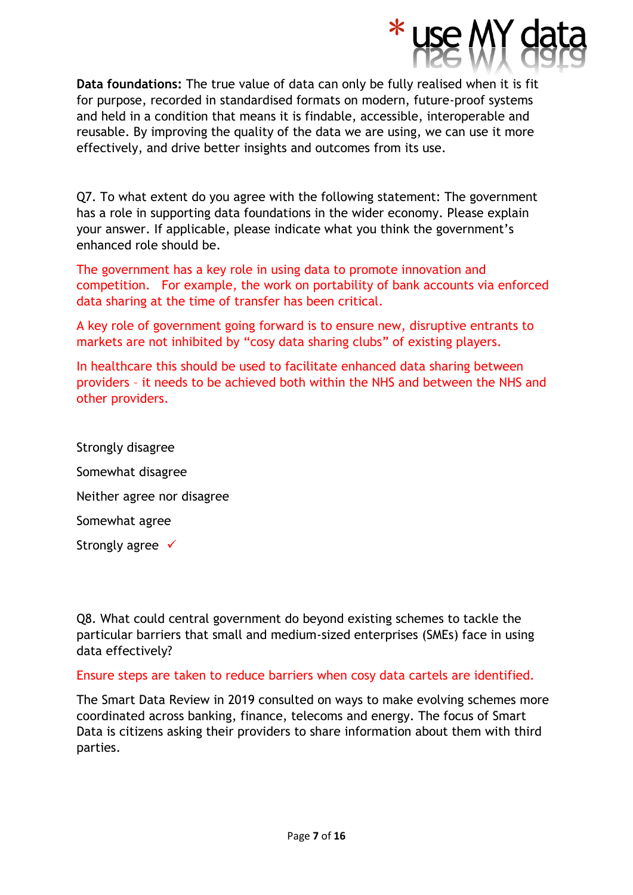

**Data foundations:** The true value of data can only be fully realised when it is fit for purpose, recorded in standardised formats on modern, future-proof systems and held in a condition that means it is findable, accessible, interoperable and reusable. By improving the quality of the data we are using, we can use it more effectively, and drive better insights and outcomes from its use.

Q7. To what extent do you agree with the following statement: The government has a role in supporting data foundations in the wider economy. Please explain your answer. If applicable, please indicate what you think the government's enhanced role should be.

The government has a key role in using data to promote innovation and competition. For example, the work on portability of bank accounts via enforced data sharing at the time of transfer has been critical.

A key role of government going forward is to ensure new, disruptive entrants to markets are not inhibited by "cosy data sharing clubs" of existing players.

In healthcare this should be used to facilitate enhanced data sharing between providers – it needs to be achieved both within the NHS and between the NHS and other providers.

Strongly disagree Somewhat disagree Neither agree nor disagree Somewhat agree Strongly agree <del>✓</del>

Q8. What could central government do beyond existing schemes to tackle the particular barriers that small and medium-sized enterprises (SMEs) face in using data effectively?

## Ensure steps are taken to reduce barriers when cosy data cartels are identified.

The Smart Data Review in 2019 consulted on ways to make evolving schemes more coordinated across banking, finance, telecoms and energy. The focus of Smart Data is citizens asking their providers to share information about them with third parties.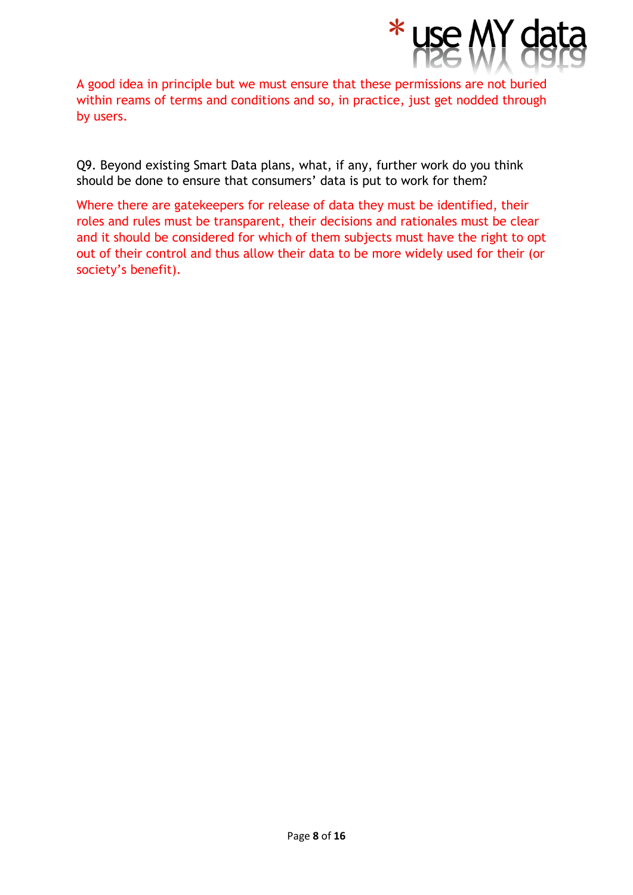

A good idea in principle but we must ensure that these permissions are not buried within reams of terms and conditions and so, in practice, just get nodded through by users.

Q9. Beyond existing Smart Data plans, what, if any, further work do you think should be done to ensure that consumers' data is put to work for them?

Where there are gatekeepers for release of data they must be identified, their roles and rules must be transparent, their decisions and rationales must be clear and it should be considered for which of them subjects must have the right to opt out of their control and thus allow their data to be more widely used for their (or society's benefit).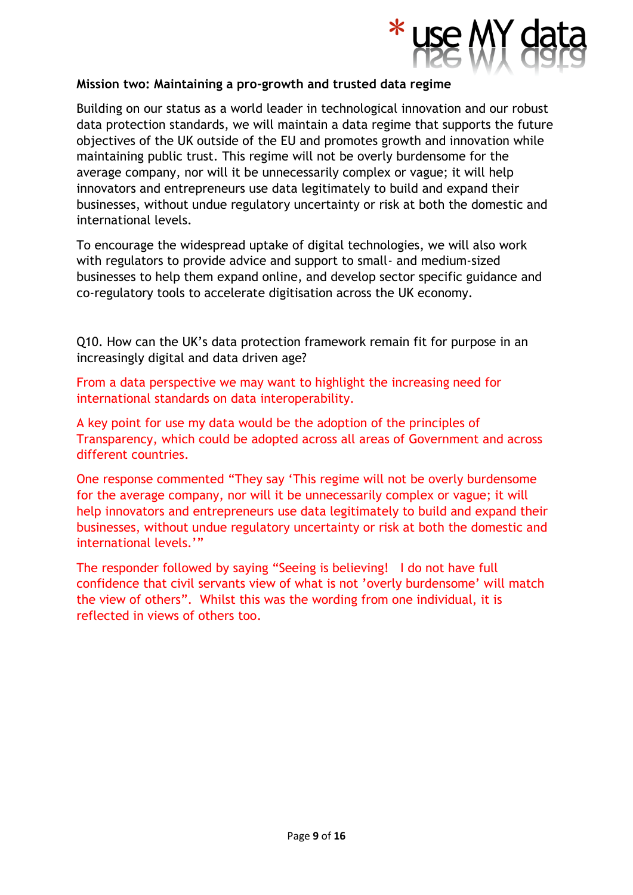

## **Mission two: Maintaining a pro-growth and trusted data regime**

Building on our status as a world leader in technological innovation and our robust data protection standards, we will maintain a data regime that supports the future objectives of the UK outside of the EU and promotes growth and innovation while maintaining public trust. This regime will not be overly burdensome for the average company, nor will it be unnecessarily complex or vague; it will help innovators and entrepreneurs use data legitimately to build and expand their businesses, without undue regulatory uncertainty or risk at both the domestic and international levels.

To encourage the widespread uptake of digital technologies, we will also work with regulators to provide advice and support to small- and medium-sized businesses to help them expand online, and develop sector specific guidance and co-regulatory tools to accelerate digitisation across the UK economy.

Q10. How can the UK's data protection framework remain fit for purpose in an increasingly digital and data driven age?

From a data perspective we may want to highlight the increasing need for international standards on data interoperability.

A key point for use my data would be the adoption of the principles of Transparency, which could be adopted across all areas of Government and across different countries.

One response commented "They say 'This regime will not be overly burdensome for the average company, nor will it be unnecessarily complex or vague; it will help innovators and entrepreneurs use data legitimately to build and expand their businesses, without undue regulatory uncertainty or risk at both the domestic and international levels.'"

The responder followed by saying "Seeing is believing! I do not have full confidence that civil servants view of what is not 'overly burdensome' will match the view of others". Whilst this was the wording from one individual, it is reflected in views of others too.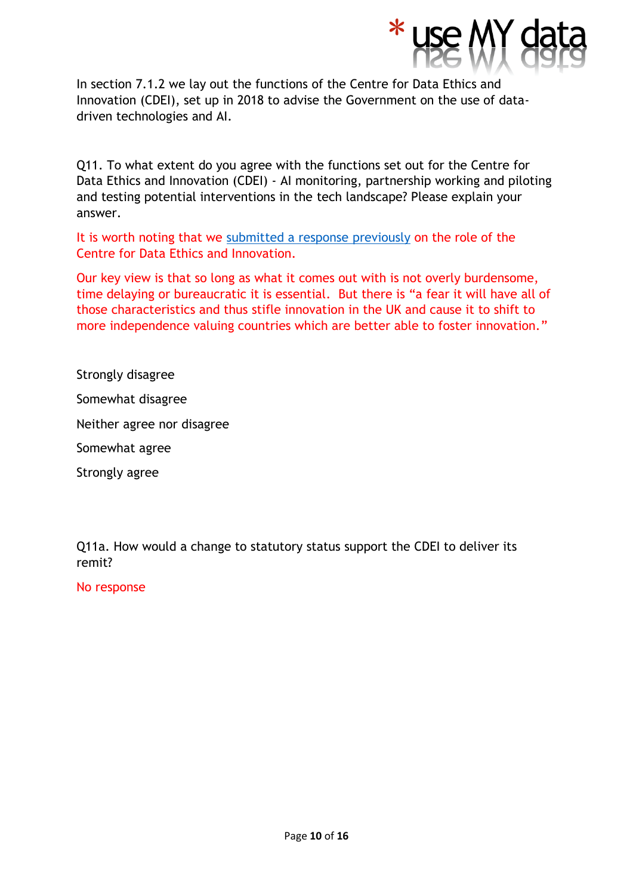

In section 7.1.2 we lay out the functions of the Centre for Data Ethics and Innovation (CDEI), set up in 2018 to advise the Government on the use of datadriven technologies and AI.

Q11. To what extent do you agree with the functions set out for the Centre for Data Ethics and Innovation (CDEI) - AI monitoring, partnership working and piloting and testing potential interventions in the tech landscape? Please explain your answer.

It is worth noting that we [submitted a response previously](http://www.usemydata.org/resources/Consultation%20on%20the%20new%20Centre%20for%20Data%20Ethics%20and%20Innovation%20-%20Response.pdf) on the role of the Centre for Data Ethics and Innovation.

Our key view is that so long as what it comes out with is not overly burdensome, time delaying or bureaucratic it is essential. But there is "a fear it will have all of those characteristics and thus stifle innovation in the UK and cause it to shift to more independence valuing countries which are better able to foster innovation."

Strongly disagree

Somewhat disagree

Neither agree nor disagree

Somewhat agree

Strongly agree

Q11a. How would a change to statutory status support the CDEI to deliver its remit?

No response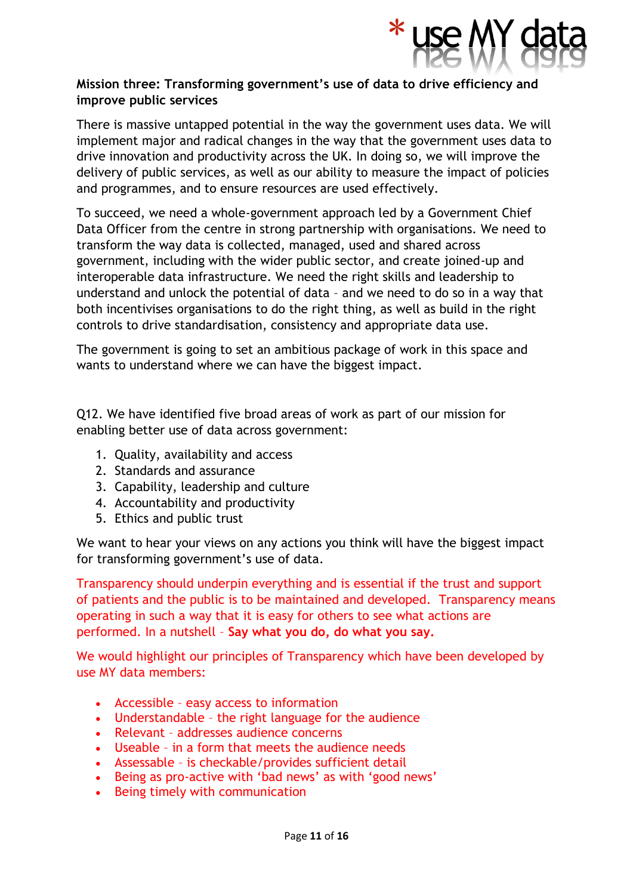

## **Mission three: Transforming government's use of data to drive efficiency and improve public services**

There is massive untapped potential in the way the government uses data. We will implement major and radical changes in the way that the government uses data to drive innovation and productivity across the UK. In doing so, we will improve the delivery of public services, as well as our ability to measure the impact of policies and programmes, and to ensure resources are used effectively.

To succeed, we need a whole-government approach led by a Government Chief Data Officer from the centre in strong partnership with organisations. We need to transform the way data is collected, managed, used and shared across government, including with the wider public sector, and create joined-up and interoperable data infrastructure. We need the right skills and leadership to understand and unlock the potential of data – and we need to do so in a way that both incentivises organisations to do the right thing, as well as build in the right controls to drive standardisation, consistency and appropriate data use.

The government is going to set an ambitious package of work in this space and wants to understand where we can have the biggest impact.

Q12. We have identified five broad areas of work as part of our mission for enabling better use of data across government:

- 1. Quality, availability and access
- 2. Standards and assurance
- 3. Capability, leadership and culture
- 4. Accountability and productivity
- 5. Ethics and public trust

We want to hear your views on any actions you think will have the biggest impact for transforming government's use of data.

Transparency should underpin everything and is essential if the trust and support of patients and the public is to be maintained and developed. Transparency means operating in such a way that it is easy for others to see what actions are performed. In a nutshell – **Say what you do, do what you say.**

We would highlight our principles of Transparency which have been developed by use MY data members:

- Accessible easy access to information
- Understandable the right language for the audience
- Relevant addresses audience concerns
- Useable in a form that meets the audience needs
- Assessable is checkable/provides sufficient detail
- Being as pro-active with 'bad news' as with 'good news'
- Being timely with communication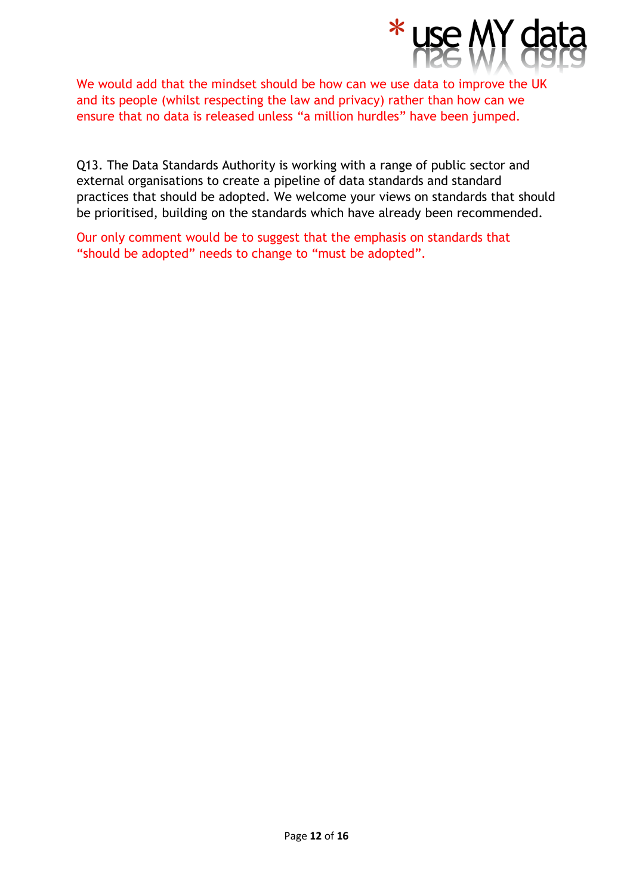

We would add that the mindset should be how can we use data to improve the UK and its people (whilst respecting the law and privacy) rather than how can we ensure that no data is released unless "a million hurdles" have been jumped.

Q13. The Data Standards Authority is working with a range of public sector and external organisations to create a pipeline of data standards and standard practices that should be adopted. We welcome your views on standards that should be prioritised, building on the standards which have already been recommended.

Our only comment would be to suggest that the emphasis on standards that "should be adopted" needs to change to "must be adopted".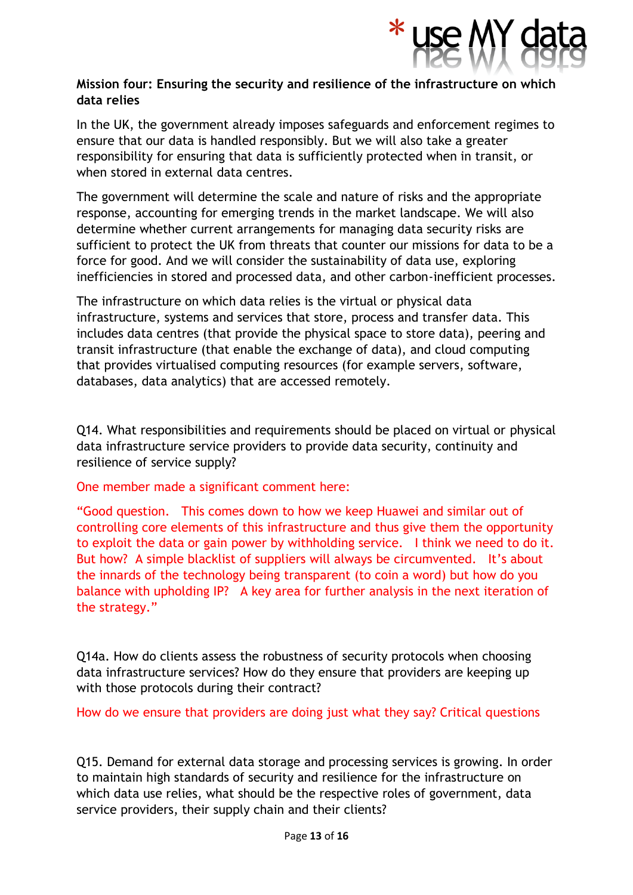

## **Mission four: Ensuring the security and resilience of the infrastructure on which data relies**

In the UK, the government already imposes safeguards and enforcement regimes to ensure that our data is handled responsibly. But we will also take a greater responsibility for ensuring that data is sufficiently protected when in transit, or when stored in external data centres.

The government will determine the scale and nature of risks and the appropriate response, accounting for emerging trends in the market landscape. We will also determine whether current arrangements for managing data security risks are sufficient to protect the UK from threats that counter our missions for data to be a force for good. And we will consider the sustainability of data use, exploring inefficiencies in stored and processed data, and other carbon-inefficient processes.

The infrastructure on which data relies is the virtual or physical data infrastructure, systems and services that store, process and transfer data. This includes data centres (that provide the physical space to store data), peering and transit infrastructure (that enable the exchange of data), and cloud computing that provides virtualised computing resources (for example servers, software, databases, data analytics) that are accessed remotely.

Q14. What responsibilities and requirements should be placed on virtual or physical data infrastructure service providers to provide data security, continuity and resilience of service supply?

One member made a significant comment here:

"Good question. This comes down to how we keep Huawei and similar out of controlling core elements of this infrastructure and thus give them the opportunity to exploit the data or gain power by withholding service. I think we need to do it. But how? A simple blacklist of suppliers will always be circumvented. It's about the innards of the technology being transparent (to coin a word) but how do you balance with upholding IP? A key area for further analysis in the next iteration of the strategy."

Q14a. How do clients assess the robustness of security protocols when choosing data infrastructure services? How do they ensure that providers are keeping up with those protocols during their contract?

How do we ensure that providers are doing just what they say? Critical questions

Q15. Demand for external data storage and processing services is growing. In order to maintain high standards of security and resilience for the infrastructure on which data use relies, what should be the respective roles of government, data service providers, their supply chain and their clients?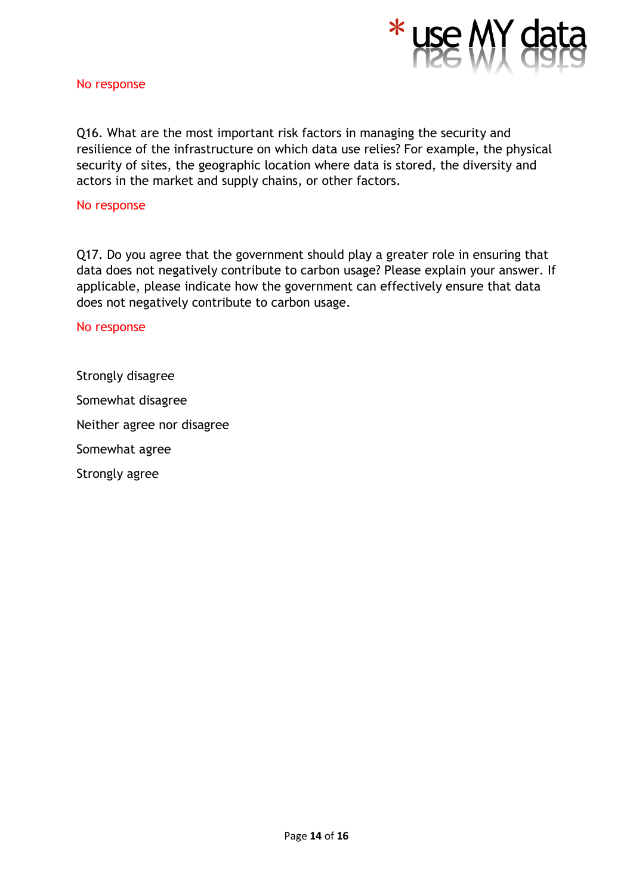

#### No response

Q16. What are the most important risk factors in managing the security and resilience of the infrastructure on which data use relies? For example, the physical security of sites, the geographic location where data is stored, the diversity and actors in the market and supply chains, or other factors.

#### No response

Q17. Do you agree that the government should play a greater role in ensuring that data does not negatively contribute to carbon usage? Please explain your answer. If applicable, please indicate how the government can effectively ensure that data does not negatively contribute to carbon usage.

#### No response

Strongly disagree Somewhat disagree Neither agree nor disagree Somewhat agree Strongly agree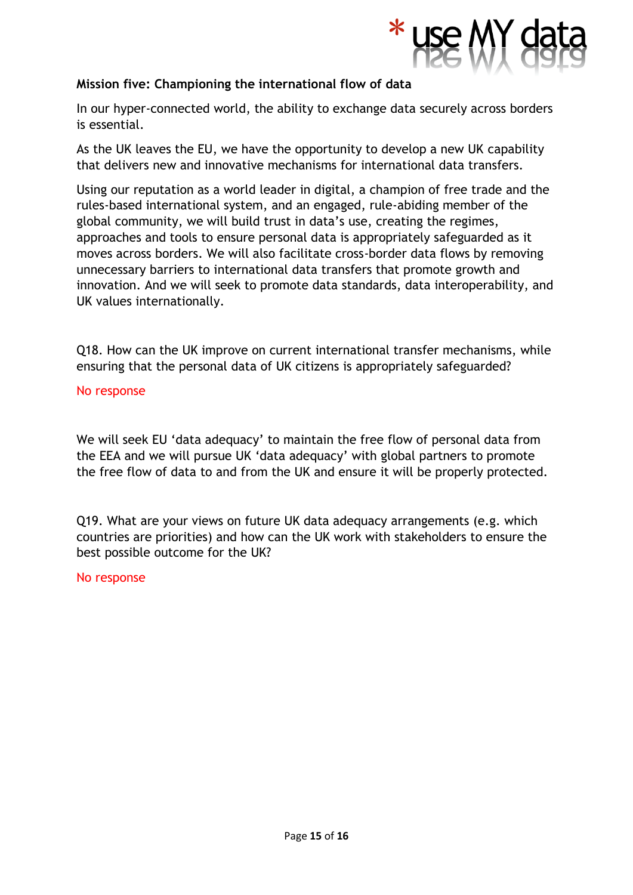

## **Mission five: Championing the international flow of data**

In our hyper-connected world, the ability to exchange data securely across borders is essential.

As the UK leaves the EU, we have the opportunity to develop a new UK capability that delivers new and innovative mechanisms for international data transfers.

Using our reputation as a world leader in digital, a champion of free trade and the rules-based international system, and an engaged, rule-abiding member of the global community, we will build trust in data's use, creating the regimes, approaches and tools to ensure personal data is appropriately safeguarded as it moves across borders. We will also facilitate cross-border data flows by removing unnecessary barriers to international data transfers that promote growth and innovation. And we will seek to promote data standards, data interoperability, and UK values internationally.

Q18. How can the UK improve on current international transfer mechanisms, while ensuring that the personal data of UK citizens is appropriately safeguarded?

#### No response

We will seek EU 'data adequacy' to maintain the free flow of personal data from the EEA and we will pursue UK 'data adequacy' with global partners to promote the free flow of data to and from the UK and ensure it will be properly protected.

Q19. What are your views on future UK data adequacy arrangements (e.g. which countries are priorities) and how can the UK work with stakeholders to ensure the best possible outcome for the UK?

#### No response